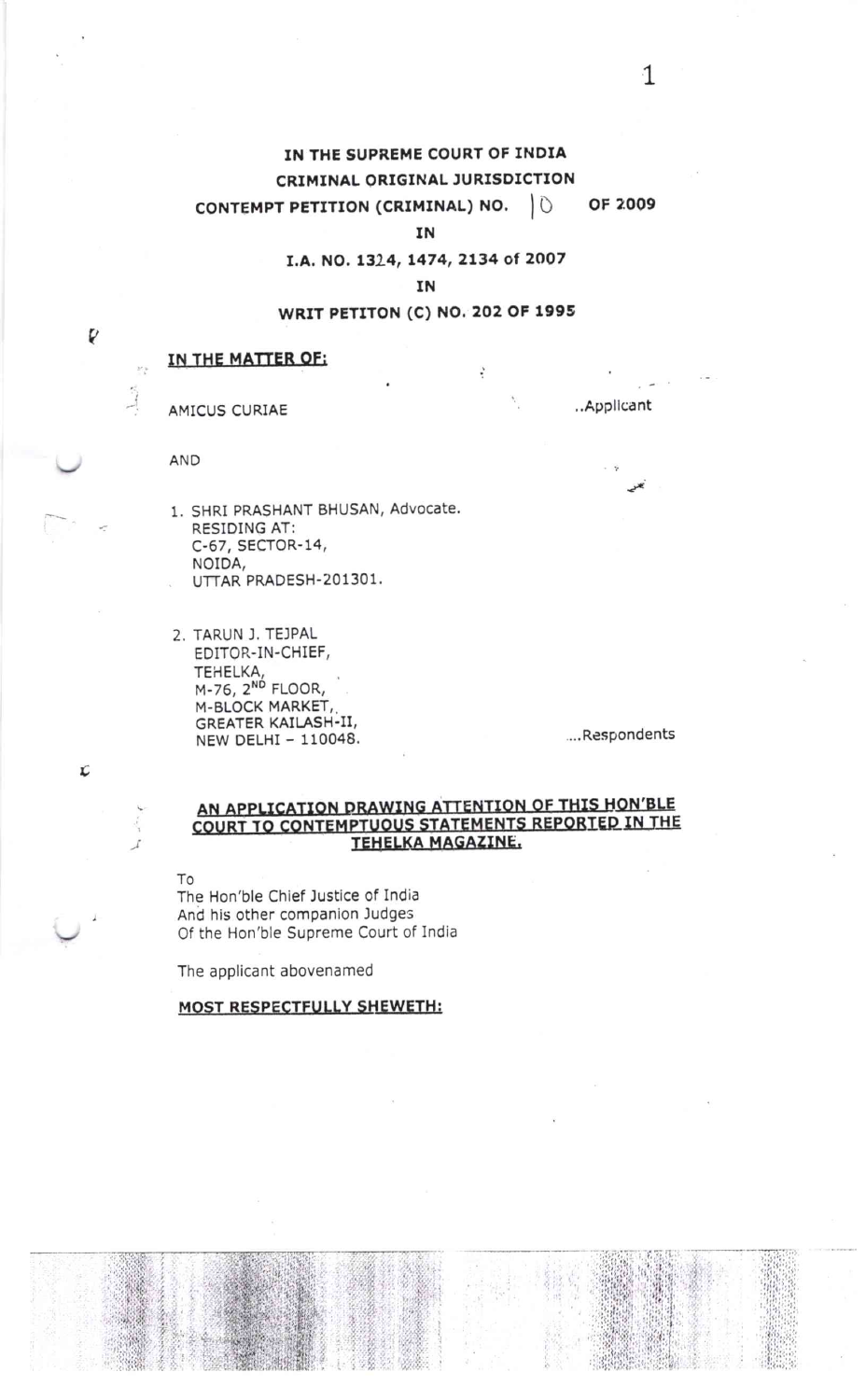#### IN THE SUPREME COURT OF INDIA CRIMINAL ORIGINAL JURISDICTION OF 2009 CONTEMPT PETITION (CRIMINAL) NO.  $10$

ΙN

### I.A. NO. 1324, 1474, 2134 of 2007

IN

# WRIT PETITON (C) NO. 202 OF 1995

÷

Ľ

# IN THE MATTER OF:

AMICUS CURIAE

AND

- 1. SHRI PRASHANT BHUSAN, Advocate. RESIDING AT: C-67, SECTOR-14, NOIDA, UTTAR PRADESH-201301.
- 2. TARUN J. TEJPAL EDITOR-IN-CHIEF, **TEHELKA** M-76, 2<sup>ND</sup> FLOOR, M-BLOCK MARKET, GREATER KAILASH-II, NEW DELHI - 110048.

....Respondents

..Applicant

## AN APPLICATION DRAWING ATTENTION OF THIS HON'BLE COURT TO CONTEMPTUOUS STATEMENTS REPORTED IN THE TEHELKA MAGAZINE.

To

The Hon'ble Chief Justice of India And his other companion Judges Of the Hon'ble Supreme Court of India

The applicant abovenamed

### **MOST RESPECTFULLY SHEWETH:**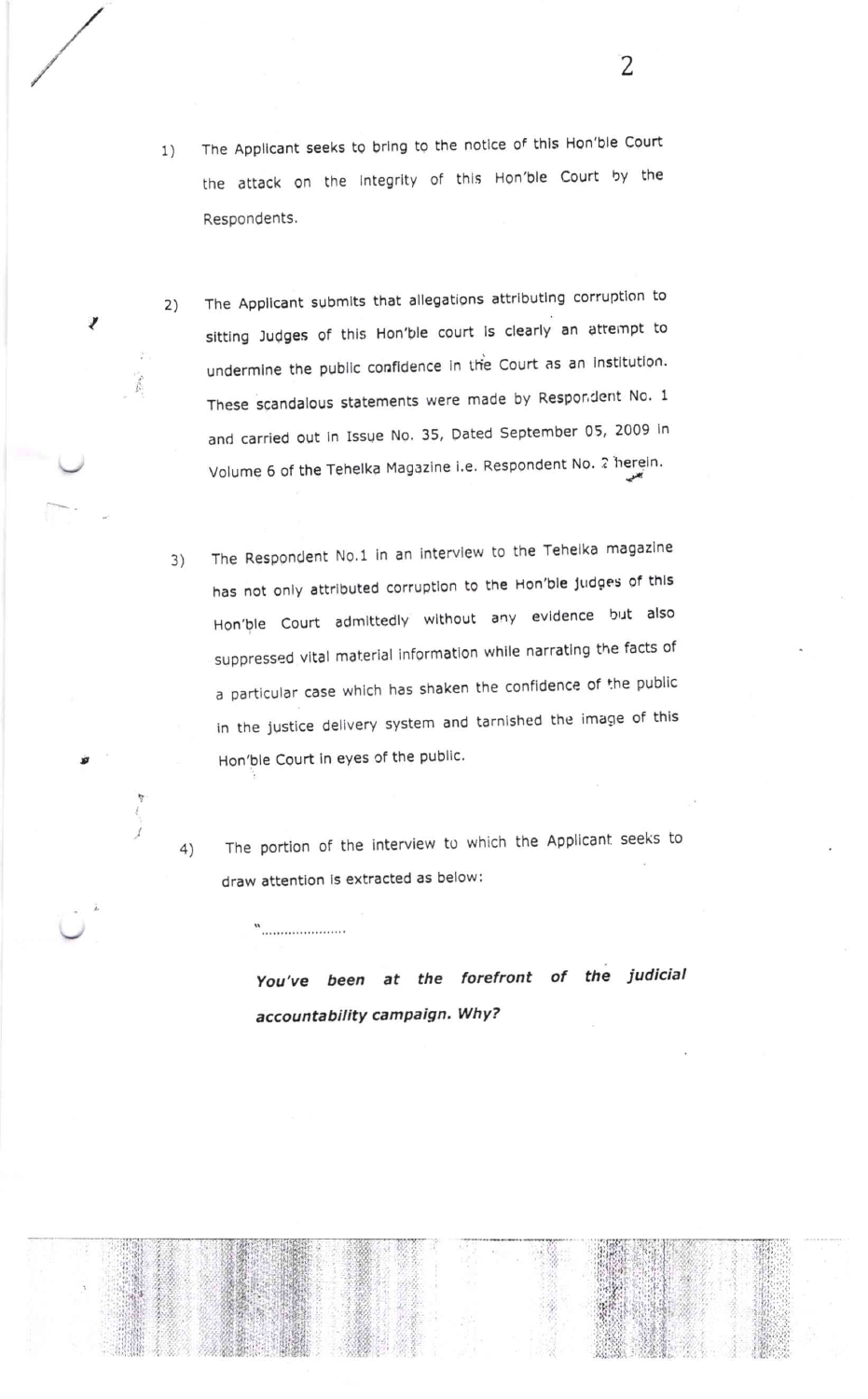- The Applicant seeks to bring to the notice of this Hon'ble Court  $1)$ the attack on the integrity of this Hon'ble Court by the Respondents.
- The Applicant submits that allegations attributing corruption to  $2)$ sitting Judges of this Hon'ble court is clearly an attempt to undermine the public confidence in the Court as an institution. These scandalous statements were made by Respondent No. 1 and carried out in Issue No. 35, Dated September 05, 2009 in Volume 6 of the Tehelka Magazine i.e. Respondent No. 2 herein.

ń.

The Respondent No.1 in an interview to the Tehelka magazine  $3)$ has not only attributed corruption to the Hon'ble judges of this Hon'ble Court admittedly without any evidence but also suppressed vital material information while narrating the facts of a particular case which has shaken the confidence of the public in the justice delivery system and tarnished the image of this Hon'ble Court in eyes of the public.

The portion of the interview to which the Applicant seeks to  $4)$ draw attention is extracted as below:

w<br>…………………………

You've been at the forefront of the judicial accountability campaign. Why?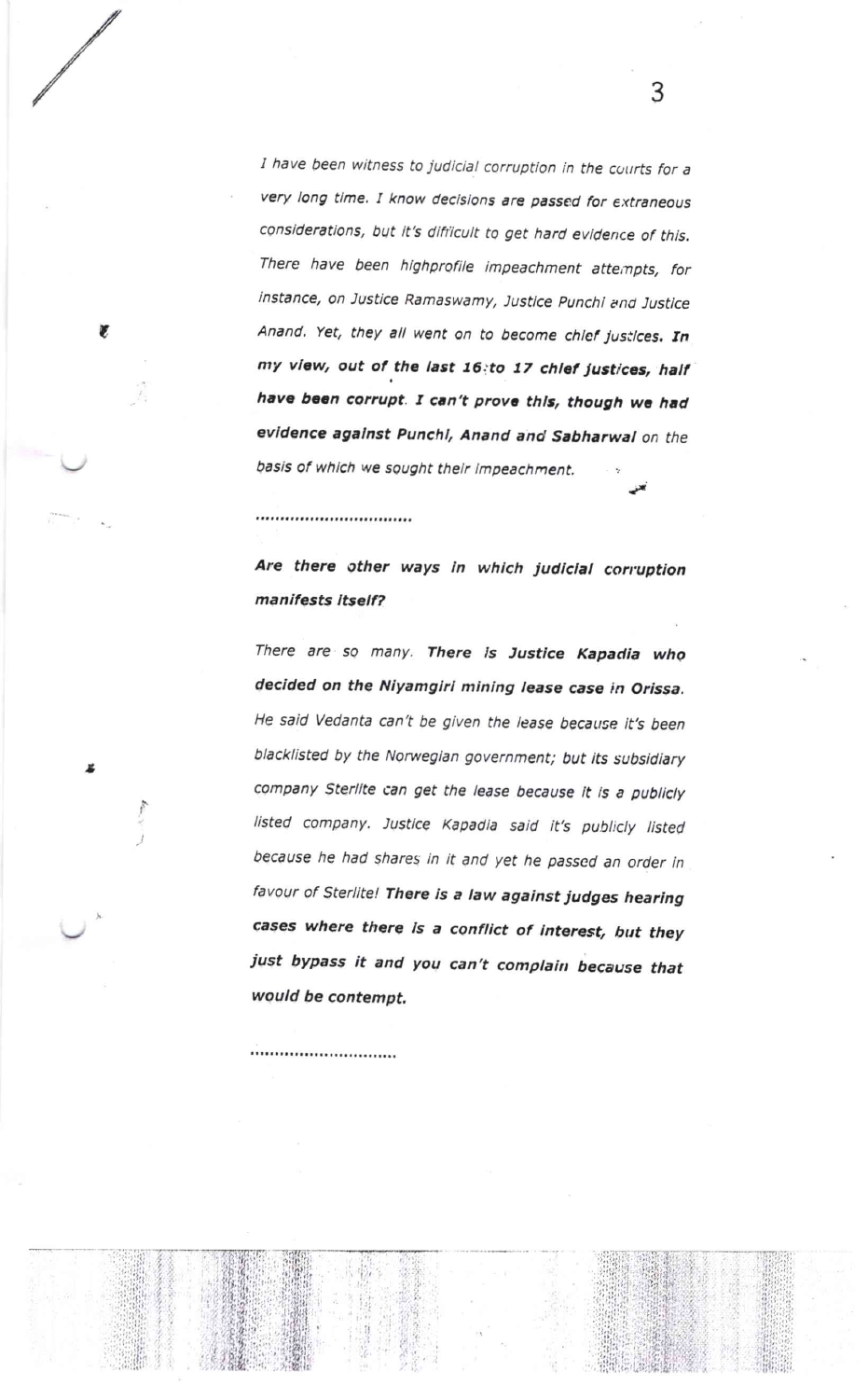I have been witness to judicial corruption in the courts for <sup>a</sup> very long time. I know decisions are passed for extraneous considerations, but it's difficult to get hard evidence of this. There have been highprofile impeachment attempts, for instance, on Justice Ramaswamy, Justice Punchi and Justice Anand. Yet, they all went on to become chief justices. In my view, out of the last 16:to 17 chief justices, half have been corrupt. I can't prove this, though we had evidence against Punchi, Anand and Sabharwal on the basis of which we sought their impeachment. i

3

### 

,,,,,,,,,,,,,,,,,,,,,,,,,,,

r

,

ing a

Are there other ways in which judicial corruption manifests itself?

There are so many. There is Justice Kapadia who decided on the Niyamgiri mining lease case in Orissa. He said Vedanta can't be given the lease because it's been blacklisted by the Norwegian government; but its subsidiary company Sterlite can get the lease because it is a publicly listed company. Justice Kapadia said it's publicly listed because he had shares in it and yet he passed an order in favour of Sterlite! There is a law against judges hearing cases where there is a conflict of interest, but they just bypass it and you can't complain because that would be contempt.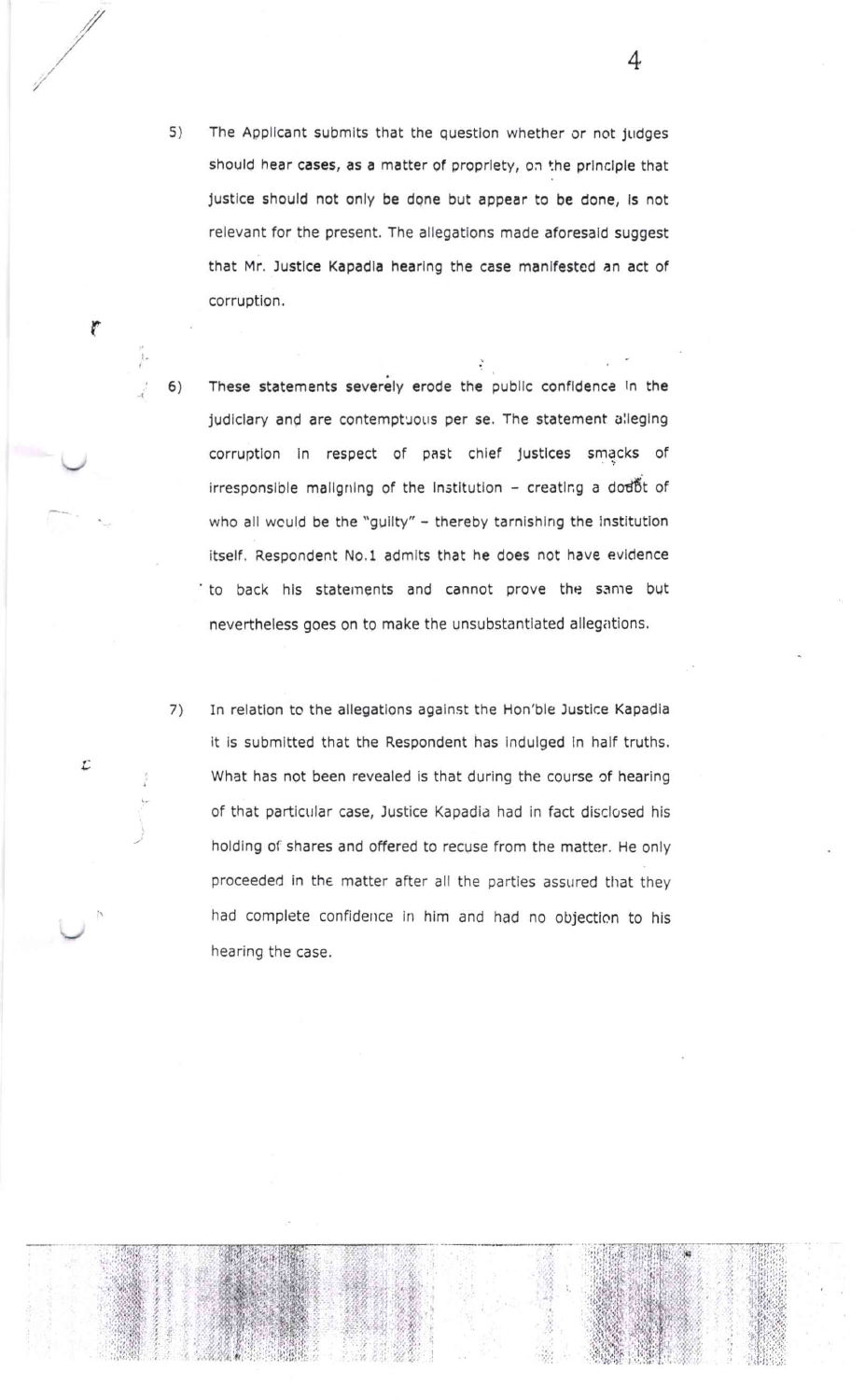s) The Applicant submits that the question whether or not judges should hear cases, as a matter of proprlety, on the principle that justice should not only be done but appear to be done, is not relevant for the present. The allegations made aforesald suggest that Mr. Justice Kapadla hearing the case manifested an act of corruption.

t

Ľ

2/

4

- These statements severely erode the publlc confldence In the judiclary and are contemptuous per se. The statement alleging corruptlon ln respect of past chlef Justlces smacks of irresponsible mallgning of the institution - creating a dod6t of who all wculd be the "guilty" - thereby tarnishing the institution itself. Respondent No.1 admits that he does not have evidence to back his statements and cannot prove the same but nevertheless goes on to make the unsubstantlated allegations. 6)
- 7) In relation to the allegations against the Hon'ble Justice Kapadia it is submitted that the Respondent has indulged in half truths. What has not been revealed is that during the course of hearing of that particular case, Justice Kapadia had in fact disclosed his holding of shares and offered to recuse from the matter. He only proceeded in the matter after all the parties assured that they had complete confidence in him and had no objection to his hearing the case.